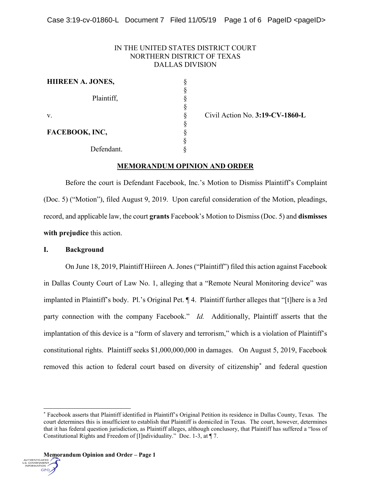# IN THE UNITED STATES DISTRICT COURT NORTHERN DISTRICT OF TEXAS DALLAS DIVISION

| <b>HIIREEN A. JONES,</b> |  |
|--------------------------|--|
| Plaintiff,               |  |
| V.                       |  |
| FACEBOOK, INC,           |  |
| Defendant.               |  |

Civil Action No. **3:19-CV-1860-L**

## **MEMORANDUM OPINION AND ORDER**

Before the court is Defendant Facebook, Inc.'s Motion to Dismiss Plaintiff's Complaint (Doc. 5) ("Motion"), filed August 9, 2019. Upon careful consideration of the Motion, pleadings, record, and applicable law, the court **grants** Facebook's Motion to Dismiss (Doc. 5) and **dismisses with prejudice** this action.

### **I. Background**

On June 18, 2019, Plaintiff Hiireen A. Jones ("Plaintiff") filed this action against Facebook in Dallas County Court of Law No. 1, alleging that a "Remote Neural Monitoring device" was implanted in Plaintiff's body. Pl.'s Original Pet. ¶ 4. Plaintiff further alleges that "[t]here is a 3rd party connection with the company Facebook." *Id.* Additionally, Plaintiff asserts that the implantation of this device is a "form of slavery and terrorism," which is a violation of Plaintiff's constitutional rights. Plaintiff seeks \$1,000,000,000 in damages. On August 5, 2019, Facebook removed this action to federal court based on diversity of citizenship\* and federal question



 <sup>\*</sup> Facebook asserts that Plaintiff identified in Plaintiff's Original Petition its residence in Dallas County, Texas. The court determines this is insufficient to establish that Plaintiff is domiciled in Texas. The court, however, determines that it has federal question jurisdiction, as Plaintiff alleges, although conclusory, that Plaintiff has suffered a "loss of Constitutional Rights and Freedom of [I]ndividuality." Doc. 1-3, at ¶ 7.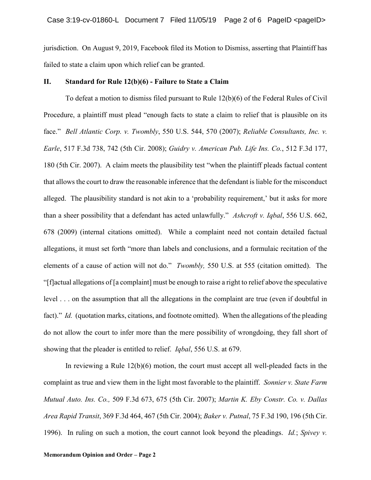jurisdiction. On August 9, 2019, Facebook filed its Motion to Dismiss, asserting that Plaintiff has failed to state a claim upon which relief can be granted.

#### **II. Standard for Rule 12(b)(6) - Failure to State a Claim**

To defeat a motion to dismiss filed pursuant to Rule 12(b)(6) of the Federal Rules of Civil Procedure, a plaintiff must plead "enough facts to state a claim to relief that is plausible on its face." *Bell Atlantic Corp. v. Twombly*, 550 U.S. 544, 570 (2007); *Reliable Consultants, Inc. v. Earle*, 517 F.3d 738, 742 (5th Cir. 2008); *Guidry v. American Pub. Life Ins. Co.*, 512 F.3d 177, 180 (5th Cir. 2007). A claim meets the plausibility test "when the plaintiff pleads factual content that allows the court to draw the reasonable inference that the defendant is liable for the misconduct alleged. The plausibility standard is not akin to a 'probability requirement,' but it asks for more than a sheer possibility that a defendant has acted unlawfully." *Ashcroft v. Iqbal*, 556 U.S. 662, 678 (2009) (internal citations omitted). While a complaint need not contain detailed factual allegations, it must set forth "more than labels and conclusions, and a formulaic recitation of the elements of a cause of action will not do." *Twombly,* 550 U.S. at 555 (citation omitted). The "[f]actual allegations of [a complaint] must be enough to raise a right to relief above the speculative level . . . on the assumption that all the allegations in the complaint are true (even if doubtful in fact)." *Id.* (quotation marks, citations, and footnote omitted). When the allegations of the pleading do not allow the court to infer more than the mere possibility of wrongdoing, they fall short of showing that the pleader is entitled to relief. *Iqbal*, 556 U.S. at 679.

In reviewing a Rule 12(b)(6) motion, the court must accept all well-pleaded facts in the complaint as true and view them in the light most favorable to the plaintiff. *Sonnier v. State Farm Mutual Auto. Ins. Co.,* 509 F.3d 673, 675 (5th Cir. 2007); *Martin K. Eby Constr. Co. v. Dallas Area Rapid Transit*, 369 F.3d 464, 467 (5th Cir. 2004); *Baker v. Putnal*, 75 F.3d 190, 196 (5th Cir. 1996). In ruling on such a motion, the court cannot look beyond the pleadings. *Id.*; *Spivey v.*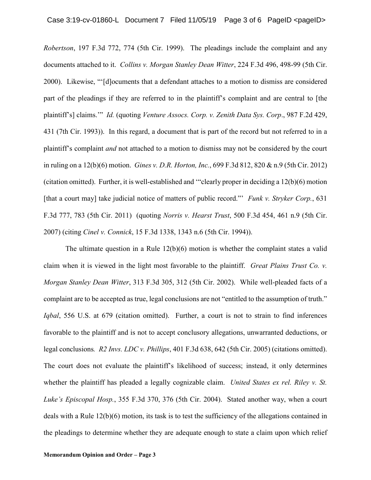*Robertson*, 197 F.3d 772, 774 (5th Cir. 1999). The pleadings include the complaint and any documents attached to it. *Collins v. Morgan Stanley Dean Witter*, 224 F.3d 496, 498-99 (5th Cir. 2000). Likewise, "'[d]ocuments that a defendant attaches to a motion to dismiss are considered part of the pleadings if they are referred to in the plaintiff's complaint and are central to [the plaintiff's] claims.'" *Id.* (quoting *Venture Assocs. Corp. v. Zenith Data Sys. Corp*., 987 F.2d 429, 431 (7th Cir. 1993)). In this regard, a document that is part of the record but not referred to in a plaintiff's complaint *and* not attached to a motion to dismiss may not be considered by the court in ruling on a 12(b)(6) motion. *Gines v. D.R. Horton, Inc.*, 699 F.3d 812, 820 & n.9 (5th Cir. 2012) (citation omitted). Further, it is well-established and '"clearly proper in deciding a 12(b)(6) motion [that a court may] take judicial notice of matters of public record."' *Funk v. Stryker Corp.*, 631 F.3d 777, 783 (5th Cir. 2011) (quoting *Norris v. Hearst Trust*, 500 F.3d 454, 461 n.9 (5th Cir. 2007) (citing *Cinel v. Connick*, 15 F.3d 1338, 1343 n.6 (5th Cir. 1994)).

The ultimate question in a Rule 12(b)(6) motion is whether the complaint states a valid claim when it is viewed in the light most favorable to the plaintiff. *Great Plains Trust Co. v. Morgan Stanley Dean Witter*, 313 F.3d 305, 312 (5th Cir. 2002). While well-pleaded facts of a complaint are to be accepted as true, legal conclusions are not "entitled to the assumption of truth." *Iqbal*, 556 U.S. at 679 (citation omitted). Further, a court is not to strain to find inferences favorable to the plaintiff and is not to accept conclusory allegations, unwarranted deductions, or legal conclusions*. R2 Invs. LDC v. Phillips*, 401 F.3d 638, 642 (5th Cir. 2005) (citations omitted). The court does not evaluate the plaintiff's likelihood of success; instead, it only determines whether the plaintiff has pleaded a legally cognizable claim. *United States ex rel. Riley v. St. Luke's Episcopal Hosp.*, 355 F.3d 370, 376 (5th Cir. 2004). Stated another way, when a court deals with a Rule 12(b)(6) motion, its task is to test the sufficiency of the allegations contained in the pleadings to determine whether they are adequate enough to state a claim upon which relief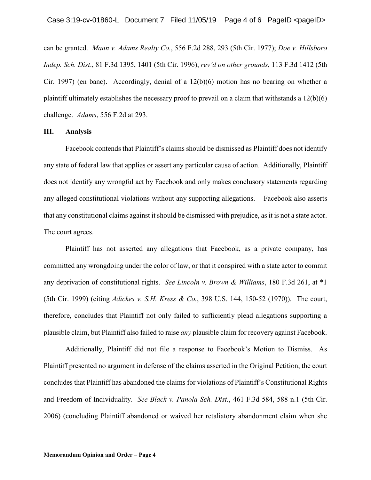can be granted. *Mann v. Adams Realty Co.*, 556 F.2d 288, 293 (5th Cir. 1977); *Doe v. Hillsboro Indep. Sch. Dist*., 81 F.3d 1395, 1401 (5th Cir. 1996), *rev'd on other grounds*, 113 F.3d 1412 (5th Cir. 1997) (en banc). Accordingly, denial of a 12(b)(6) motion has no bearing on whether a plaintiff ultimately establishes the necessary proof to prevail on a claim that withstands a 12(b)(6) challenge. *Adams*, 556 F.2d at 293.

### **III. Analysis**

Facebook contends that Plaintiff's claims should be dismissed as Plaintiff does not identify any state of federal law that applies or assert any particular cause of action. Additionally, Plaintiff does not identify any wrongful act by Facebook and only makes conclusory statements regarding any alleged constitutional violations without any supporting allegations. Facebook also asserts that any constitutional claims against it should be dismissed with prejudice, as it is not a state actor. The court agrees.

Plaintiff has not asserted any allegations that Facebook, as a private company, has committed any wrongdoing under the color of law, or that it conspired with a state actor to commit any deprivation of constitutional rights. *See Lincoln v. Brown & Williams*, 180 F.3d 261, at \*1 (5th Cir. 1999) (citing *Adickes v. S.H. Kress & Co.*, 398 U.S. 144, 150-52 (1970)). The court, therefore, concludes that Plaintiff not only failed to sufficiently plead allegations supporting a plausible claim, but Plaintiff also failed to raise *any* plausible claim for recovery against Facebook.

Additionally, Plaintiff did not file a response to Facebook's Motion to Dismiss. As Plaintiff presented no argument in defense of the claims asserted in the Original Petition, the court concludes that Plaintiff has abandoned the claims for violations of Plaintiff's Constitutional Rights and Freedom of Individuality. *See Black v. Panola Sch. Dist.*, 461 F.3d 584, 588 n.1 (5th Cir. 2006) (concluding Plaintiff abandoned or waived her retaliatory abandonment claim when she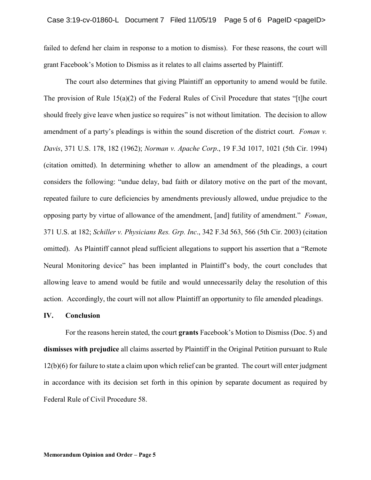failed to defend her claim in response to a motion to dismiss). For these reasons, the court will grant Facebook's Motion to Dismiss as it relates to all claims asserted by Plaintiff.

The court also determines that giving Plaintiff an opportunity to amend would be futile. The provision of Rule 15(a)(2) of the Federal Rules of Civil Procedure that states "[t]he court should freely give leave when justice so requires" is not without limitation. The decision to allow amendment of a party's pleadings is within the sound discretion of the district court. *Foman v. Davis*, 371 U.S. 178, 182 (1962); *Norman v. Apache Corp*., 19 F.3d 1017, 1021 (5th Cir. 1994) (citation omitted). In determining whether to allow an amendment of the pleadings, a court considers the following: "undue delay, bad faith or dilatory motive on the part of the movant, repeated failure to cure deficiencies by amendments previously allowed, undue prejudice to the opposing party by virtue of allowance of the amendment, [and] futility of amendment." *Foman*, 371 U.S. at 182; *Schiller v. Physicians Res. Grp. Inc*., 342 F.3d 563, 566 (5th Cir. 2003) (citation omitted). As Plaintiff cannot plead sufficient allegations to support his assertion that a "Remote Neural Monitoring device" has been implanted in Plaintiff's body, the court concludes that allowing leave to amend would be futile and would unnecessarily delay the resolution of this action. Accordingly, the court will not allow Plaintiff an opportunity to file amended pleadings.

#### **IV. Conclusion**

For the reasons herein stated, the court **grants** Facebook's Motion to Dismiss (Doc. 5) and **dismisses with prejudice** all claims asserted by Plaintiff in the Original Petition pursuant to Rule 12(b)(6) for failure to state a claim upon which relief can be granted. The court will enter judgment in accordance with its decision set forth in this opinion by separate document as required by Federal Rule of Civil Procedure 58.